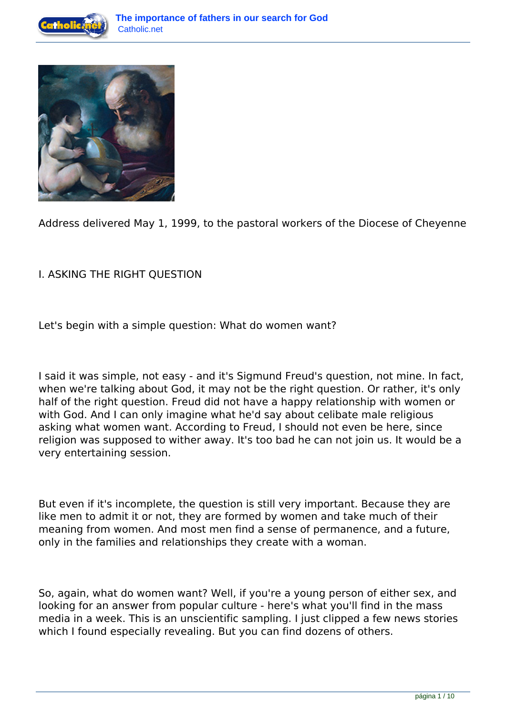



Address delivered May 1, 1999, to the pastoral workers of the Diocese of Cheyenne

## I. ASKING THE RIGHT QUESTION

Let's begin with a simple question: What do women want?

I said it was simple, not easy - and it's Sigmund Freud's question, not mine. In fact, when we're talking about God, it may not be the right question. Or rather, it's only half of the right question. Freud did not have a happy relationship with women or with God. And I can only imagine what he'd say about celibate male religious asking what women want. According to Freud, I should not even be here, since religion was supposed to wither away. It's too bad he can not join us. It would be a very entertaining session.

But even if it's incomplete, the question is still very important. Because they are like men to admit it or not, they are formed by women and take much of their meaning from women. And most men find a sense of permanence, and a future, only in the families and relationships they create with a woman.

So, again, what do women want? Well, if you're a young person of either sex, and looking for an answer from popular culture - here's what you'll find in the mass media in a week. This is an unscientific sampling. I just clipped a few news stories which I found especially revealing. But you can find dozens of others.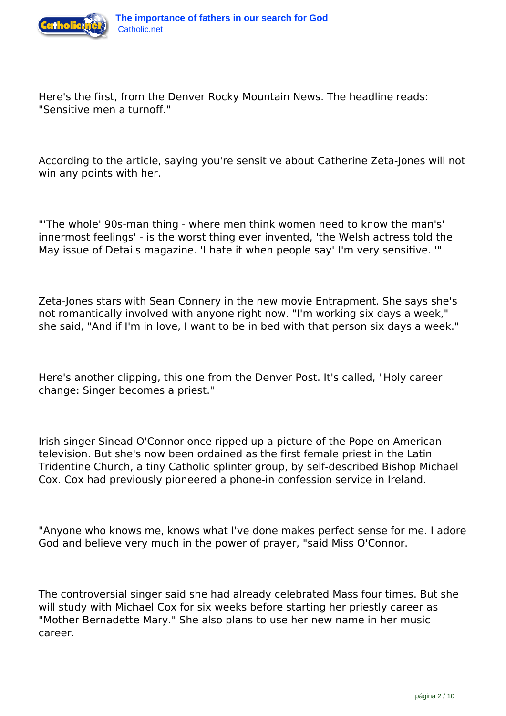

Here's the first, from the Denver Rocky Mountain News. The headline reads: "Sensitive men a turnoff."

According to the article, saying you're sensitive about Catherine Zeta-Jones will not win any points with her.

"'The whole' 90s-man thing - where men think women need to know the man's' innermost feelings' - is the worst thing ever invented, 'the Welsh actress told the May issue of Details magazine. 'I hate it when people say' I'm very sensitive. '"

Zeta-Jones stars with Sean Connery in the new movie Entrapment. She says she's not romantically involved with anyone right now. "I'm working six days a week," she said, "And if I'm in love, I want to be in bed with that person six days a week."

Here's another clipping, this one from the Denver Post. It's called, "Holy career change: Singer becomes a priest."

Irish singer Sinead O'Connor once ripped up a picture of the Pope on American television. But she's now been ordained as the first female priest in the Latin Tridentine Church, a tiny Catholic splinter group, by self-described Bishop Michael Cox. Cox had previously pioneered a phone-in confession service in Ireland.

"Anyone who knows me, knows what I've done makes perfect sense for me. I adore God and believe very much in the power of prayer, "said Miss O'Connor.

The controversial singer said she had already celebrated Mass four times. But she will study with Michael Cox for six weeks before starting her priestly career as "Mother Bernadette Mary." She also plans to use her new name in her music career.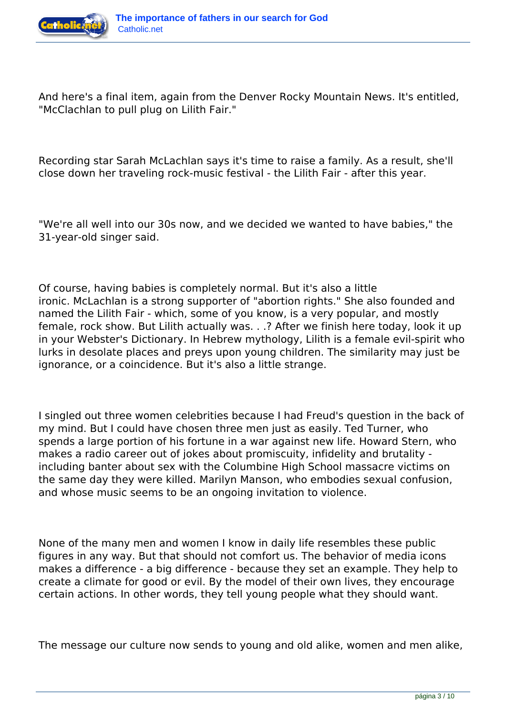

And here's a final item, again from the Denver Rocky Mountain News. It's entitled, "McClachlan to pull plug on Lilith Fair."

Recording star Sarah McLachlan says it's time to raise a family. As a result, she'll close down her traveling rock-music festival - the Lilith Fair - after this year.

"We're all well into our 30s now, and we decided we wanted to have babies," the 31-year-old singer said.

Of course, having babies is completely normal. But it's also a little ironic. McLachlan is a strong supporter of "abortion rights." She also founded and named the Lilith Fair - which, some of you know, is a very popular, and mostly female, rock show. But Lilith actually was. . .? After we finish here today, look it up in your Webster's Dictionary. In Hebrew mythology, Lilith is a female evil-spirit who lurks in desolate places and preys upon young children. The similarity may just be ignorance, or a coincidence. But it's also a little strange.

I singled out three women celebrities because I had Freud's question in the back of my mind. But I could have chosen three men just as easily. Ted Turner, who spends a large portion of his fortune in a war against new life. Howard Stern, who makes a radio career out of jokes about promiscuity, infidelity and brutality including banter about sex with the Columbine High School massacre victims on the same day they were killed. Marilyn Manson, who embodies sexual confusion, and whose music seems to be an ongoing invitation to violence.

None of the many men and women I know in daily life resembles these public figures in any way. But that should not comfort us. The behavior of media icons makes a difference - a big difference - because they set an example. They help to create a climate for good or evil. By the model of their own lives, they encourage certain actions. In other words, they tell young people what they should want.

The message our culture now sends to young and old alike, women and men alike,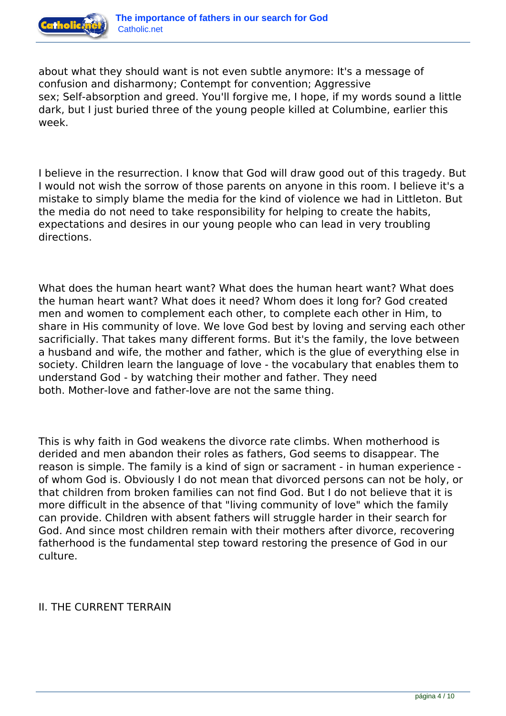

about what they should want is not even subtle anymore: It's a message of confusion and disharmony; Contempt for convention; Aggressive sex; Self-absorption and greed. You'll forgive me, I hope, if my words sound a little dark, but I just buried three of the young people killed at Columbine, earlier this week.

I believe in the resurrection. I know that God will draw good out of this tragedy. But I would not wish the sorrow of those parents on anyone in this room. I believe it's a mistake to simply blame the media for the kind of violence we had in Littleton. But the media do not need to take responsibility for helping to create the habits, expectations and desires in our young people who can lead in very troubling directions.

What does the human heart want? What does the human heart want? What does the human heart want? What does it need? Whom does it long for? God created men and women to complement each other, to complete each other in Him, to share in His community of love. We love God best by loving and serving each other sacrificially. That takes many different forms. But it's the family, the love between a husband and wife, the mother and father, which is the glue of everything else in society. Children learn the language of love - the vocabulary that enables them to understand God - by watching their mother and father. They need both. Mother-love and father-love are not the same thing.

This is why faith in God weakens the divorce rate climbs. When motherhood is derided and men abandon their roles as fathers, God seems to disappear. The reason is simple. The family is a kind of sign or sacrament - in human experience of whom God is. Obviously I do not mean that divorced persons can not be holy, or that children from broken families can not find God. But I do not believe that it is more difficult in the absence of that "living community of love" which the family can provide. Children with absent fathers will struggle harder in their search for God. And since most children remain with their mothers after divorce, recovering fatherhood is the fundamental step toward restoring the presence of God in our culture.

## II. THE CURRENT TERRAIN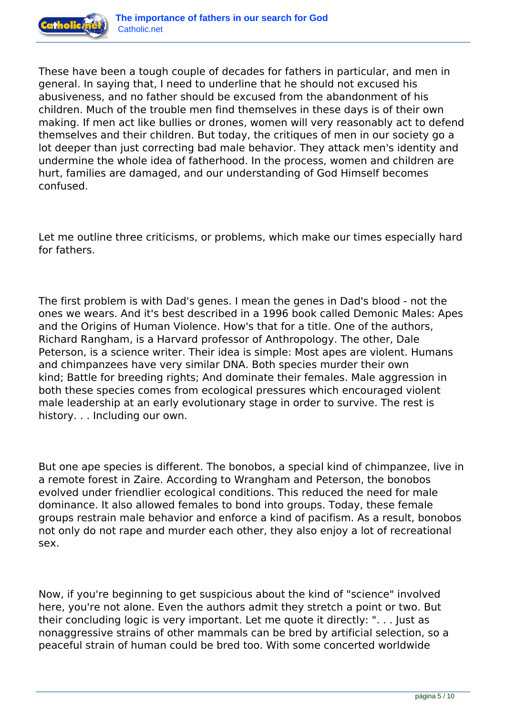

These have been a tough couple of decades for fathers in particular, and men in general. In saying that, I need to underline that he should not excused his abusiveness, and no father should be excused from the abandonment of his children. Much of the trouble men find themselves in these days is of their own making. If men act like bullies or drones, women will very reasonably act to defend themselves and their children. But today, the critiques of men in our society go a lot deeper than just correcting bad male behavior. They attack men's identity and undermine the whole idea of fatherhood. In the process, women and children are hurt, families are damaged, and our understanding of God Himself becomes confused.

Let me outline three criticisms, or problems, which make our times especially hard for fathers.

The first problem is with Dad's genes. I mean the genes in Dad's blood - not the ones we wears. And it's best described in a 1996 book called Demonic Males: Apes and the Origins of Human Violence. How's that for a title. One of the authors, Richard Rangham, is a Harvard professor of Anthropology. The other, Dale Peterson, is a science writer. Their idea is simple: Most apes are violent. Humans and chimpanzees have very similar DNA. Both species murder their own kind; Battle for breeding rights; And dominate their females. Male aggression in both these species comes from ecological pressures which encouraged violent male leadership at an early evolutionary stage in order to survive. The rest is history. . . Including our own.

But one ape species is different. The bonobos, a special kind of chimpanzee, live in a remote forest in Zaire. According to Wrangham and Peterson, the bonobos evolved under friendlier ecological conditions. This reduced the need for male dominance. It also allowed females to bond into groups. Today, these female groups restrain male behavior and enforce a kind of pacifism. As a result, bonobos not only do not rape and murder each other, they also enjoy a lot of recreational sex.

Now, if you're beginning to get suspicious about the kind of "science" involved here, you're not alone. Even the authors admit they stretch a point or two. But their concluding logic is very important. Let me quote it directly: ". . . Just as nonaggressive strains of other mammals can be bred by artificial selection, so a peaceful strain of human could be bred too. With some concerted worldwide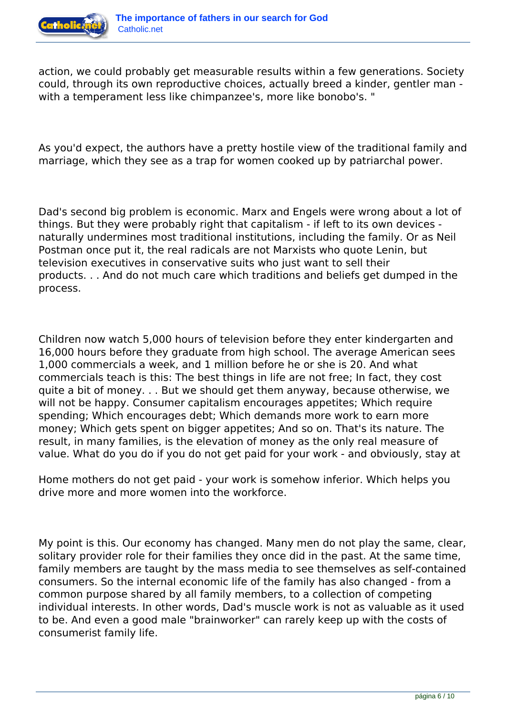

action, we could probably get measurable results within a few generations. Society could, through its own reproductive choices, actually breed a kinder, gentler man with a temperament less like chimpanzee's, more like bonobo's. "

As you'd expect, the authors have a pretty hostile view of the traditional family and marriage, which they see as a trap for women cooked up by patriarchal power.

Dad's second big problem is economic. Marx and Engels were wrong about a lot of things. But they were probably right that capitalism - if left to its own devices naturally undermines most traditional institutions, including the family. Or as Neil Postman once put it, the real radicals are not Marxists who quote Lenin, but television executives in conservative suits who just want to sell their products. . . And do not much care which traditions and beliefs get dumped in the process.

Children now watch 5,000 hours of television before they enter kindergarten and 16,000 hours before they graduate from high school. The average American sees 1,000 commercials a week, and 1 million before he or she is 20. And what commercials teach is this: The best things in life are not free; In fact, they cost quite a bit of money. . . But we should get them anyway, because otherwise, we will not be happy. Consumer capitalism encourages appetites; Which require spending; Which encourages debt; Which demands more work to earn more money; Which gets spent on bigger appetites; And so on. That's its nature. The result, in many families, is the elevation of money as the only real measure of value. What do you do if you do not get paid for your work - and obviously, stay at

Home mothers do not get paid - your work is somehow inferior. Which helps you drive more and more women into the workforce.

My point is this. Our economy has changed. Many men do not play the same, clear, solitary provider role for their families they once did in the past. At the same time, family members are taught by the mass media to see themselves as self-contained consumers. So the internal economic life of the family has also changed - from a common purpose shared by all family members, to a collection of competing individual interests. In other words, Dad's muscle work is not as valuable as it used to be. And even a good male "brainworker" can rarely keep up with the costs of consumerist family life.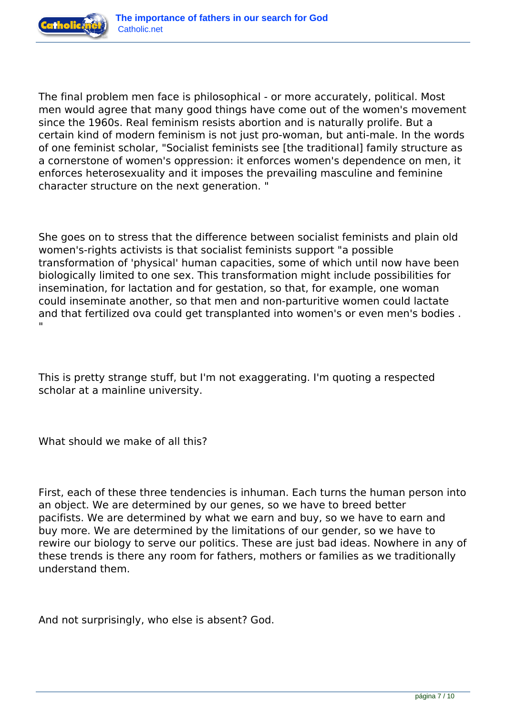

The final problem men face is philosophical - or more accurately, political. Most men would agree that many good things have come out of the women's movement since the 1960s. Real feminism resists abortion and is naturally prolife. But a certain kind of modern feminism is not just pro-woman, but anti-male. In the words of one feminist scholar, "Socialist feminists see [the traditional] family structure as a cornerstone of women's oppression: it enforces women's dependence on men, it enforces heterosexuality and it imposes the prevailing masculine and feminine character structure on the next generation. "

She goes on to stress that the difference between socialist feminists and plain old women's-rights activists is that socialist feminists support "a possible transformation of 'physical' human capacities, some of which until now have been biologically limited to one sex. This transformation might include possibilities for insemination, for lactation and for gestation, so that, for example, one woman could inseminate another, so that men and non-parturitive women could lactate and that fertilized ova could get transplanted into women's or even men's bodies . "

This is pretty strange stuff, but I'm not exaggerating. I'm quoting a respected scholar at a mainline university.

What should we make of all this?

First, each of these three tendencies is inhuman. Each turns the human person into an object. We are determined by our genes, so we have to breed better pacifists. We are determined by what we earn and buy, so we have to earn and buy more. We are determined by the limitations of our gender, so we have to rewire our biology to serve our politics. These are just bad ideas. Nowhere in any of these trends is there any room for fathers, mothers or families as we traditionally understand them.

And not surprisingly, who else is absent? God.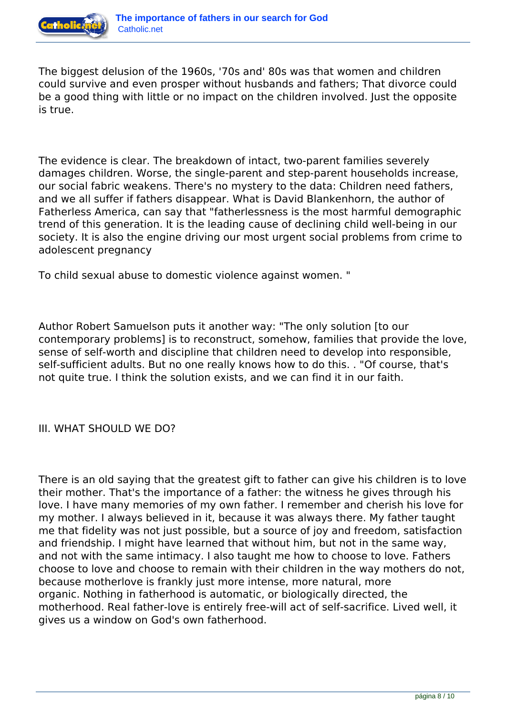

The biggest delusion of the 1960s, '70s and' 80s was that women and children could survive and even prosper without husbands and fathers; That divorce could be a good thing with little or no impact on the children involved. Just the opposite is true.

The evidence is clear. The breakdown of intact, two-parent families severely damages children. Worse, the single-parent and step-parent households increase, our social fabric weakens. There's no mystery to the data: Children need fathers, and we all suffer if fathers disappear. What is David Blankenhorn, the author of Fatherless America, can say that "fatherlessness is the most harmful demographic trend of this generation. It is the leading cause of declining child well-being in our society. It is also the engine driving our most urgent social problems from crime to adolescent pregnancy

To child sexual abuse to domestic violence against women. "

Author Robert Samuelson puts it another way: "The only solution [to our contemporary problems] is to reconstruct, somehow, families that provide the love, sense of self-worth and discipline that children need to develop into responsible, self-sufficient adults. But no one really knows how to do this. . "Of course, that's not quite true. I think the solution exists, and we can find it in our faith.

III. WHAT SHOULD WE DO?

There is an old saying that the greatest gift to father can give his children is to love their mother. That's the importance of a father: the witness he gives through his love. I have many memories of my own father. I remember and cherish his love for my mother. I always believed in it, because it was always there. My father taught me that fidelity was not just possible, but a source of joy and freedom, satisfaction and friendship. I might have learned that without him, but not in the same way, and not with the same intimacy. I also taught me how to choose to love. Fathers choose to love and choose to remain with their children in the way mothers do not, because motherlove is frankly just more intense, more natural, more organic. Nothing in fatherhood is automatic, or biologically directed, the motherhood. Real father-love is entirely free-will act of self-sacrifice. Lived well, it gives us a window on God's own fatherhood.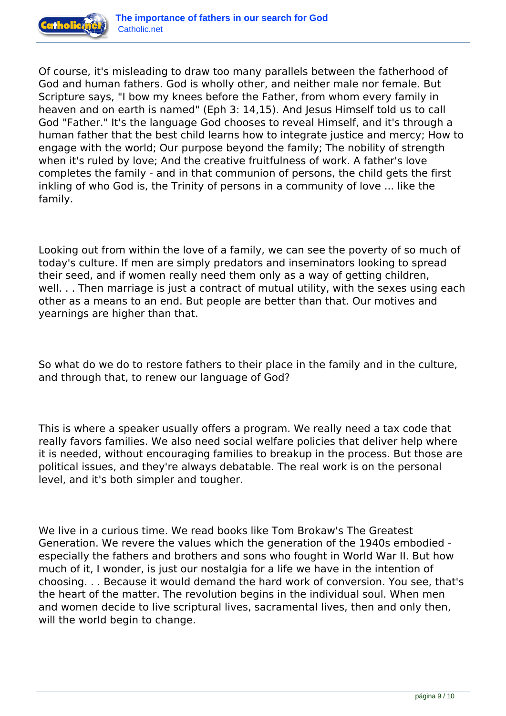

Of course, it's misleading to draw too many parallels between the fatherhood of God and human fathers. God is wholly other, and neither male nor female. But Scripture says, "I bow my knees before the Father, from whom every family in heaven and on earth is named" (Eph 3: 14,15). And Jesus Himself told us to call God "Father." It's the language God chooses to reveal Himself, and it's through a human father that the best child learns how to integrate justice and mercy; How to engage with the world; Our purpose beyond the family; The nobility of strength when it's ruled by love; And the creative fruitfulness of work. A father's love completes the family - and in that communion of persons, the child gets the first inkling of who God is, the Trinity of persons in a community of love ... like the family.

Looking out from within the love of a family, we can see the poverty of so much of today's culture. If men are simply predators and inseminators looking to spread their seed, and if women really need them only as a way of getting children, well. . . Then marriage is just a contract of mutual utility, with the sexes using each other as a means to an end. But people are better than that. Our motives and yearnings are higher than that.

So what do we do to restore fathers to their place in the family and in the culture, and through that, to renew our language of God?

This is where a speaker usually offers a program. We really need a tax code that really favors families. We also need social welfare policies that deliver help where it is needed, without encouraging families to breakup in the process. But those are political issues, and they're always debatable. The real work is on the personal level, and it's both simpler and tougher.

We live in a curious time. We read books like Tom Brokaw's The Greatest Generation. We revere the values which the generation of the 1940s embodied especially the fathers and brothers and sons who fought in World War II. But how much of it, I wonder, is just our nostalgia for a life we have in the intention of choosing. . . Because it would demand the hard work of conversion. You see, that's the heart of the matter. The revolution begins in the individual soul. When men and women decide to live scriptural lives, sacramental lives, then and only then, will the world begin to change.